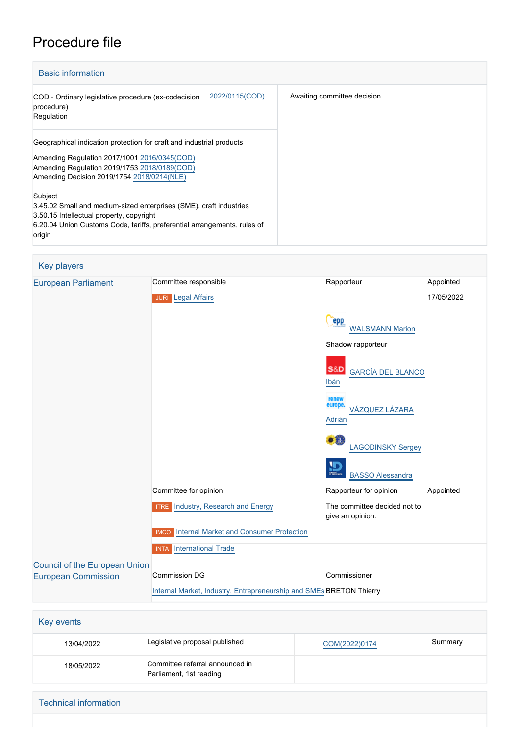# Procedure file

| <b>Basic information</b>                                                                                                                                                                                           |                             |
|--------------------------------------------------------------------------------------------------------------------------------------------------------------------------------------------------------------------|-----------------------------|
| 2022/0115(COD)<br>COD - Ordinary legislative procedure (ex-codecision<br>procedure)<br>Regulation                                                                                                                  | Awaiting committee decision |
| Geographical indication protection for craft and industrial products<br>Amending Regulation 2017/1001 2016/0345(COD)<br>Amending Regulation 2019/1753 2018/0189(COD)<br>Amending Decision 2019/1754 2018/0214(NLE) |                             |
| Subject<br>3.45.02 Small and medium-sized enterprises (SME), craft industries<br>3.50.15 Intellectual property, copyright<br>6.20.04 Union Customs Code, tariffs, preferential arrangements, rules of<br>origin    |                             |

| <b>Key players</b>                   |                                                                     |                                                    |            |
|--------------------------------------|---------------------------------------------------------------------|----------------------------------------------------|------------|
| <b>European Parliament</b>           | Committee responsible                                               | Rapporteur                                         | Appointed  |
|                                      | <b>JURI</b> Legal Affairs                                           |                                                    | 17/05/2022 |
|                                      |                                                                     | epp<br><b>WALSMANN Marion</b>                      |            |
|                                      |                                                                     | Shadow rapporteur                                  |            |
|                                      |                                                                     | <b>S&amp;D</b><br><b>GARCÍA DEL BLANCO</b><br>Ibán |            |
|                                      |                                                                     | renew<br>europe.<br>VÁZQUEZ LÁZARA<br>Adrián       |            |
|                                      |                                                                     | • 0<br><b>LAGODINSKY Sergey</b>                    |            |
|                                      |                                                                     | ₽<br><b>BASSO Alessandra</b>                       |            |
|                                      | Committee for opinion                                               | Rapporteur for opinion                             | Appointed  |
|                                      | <b>ITRE</b> Industry, Research and Energy                           | The committee decided not to<br>give an opinion.   |            |
|                                      | <b>Internal Market and Consumer Protection</b><br><b>IMCO</b>       |                                                    |            |
|                                      | <b>INTA</b> International Trade                                     |                                                    |            |
| <b>Council of the European Union</b> |                                                                     |                                                    |            |
| <b>European Commission</b>           | Commission DG                                                       | Commissioner                                       |            |
|                                      | Internal Market, Industry, Entrepreneurship and SMEs BRETON Thierry |                                                    |            |

| Key events                   |                                                            |               |         |
|------------------------------|------------------------------------------------------------|---------------|---------|
| 13/04/2022                   | Legislative proposal published                             | COM(2022)0174 | Summary |
| 18/05/2022                   | Committee referral announced in<br>Parliament, 1st reading |               |         |
| <b>Technical information</b> |                                                            |               |         |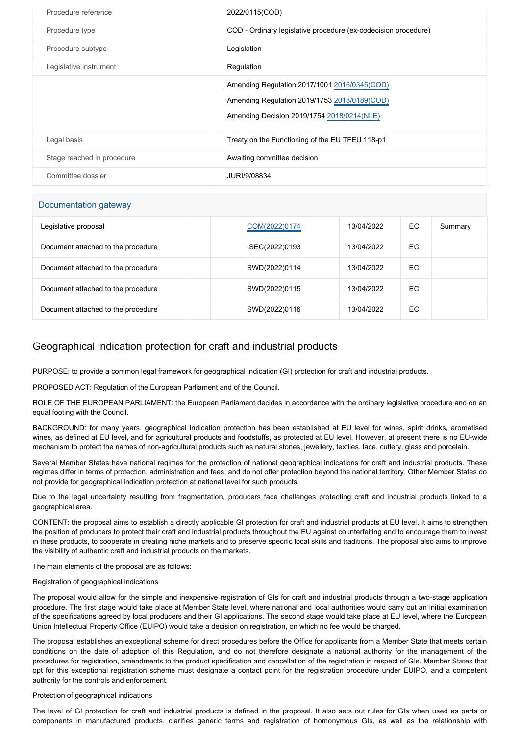| Procedure reference        | 2022/0115(COD)                                                                                                                             |
|----------------------------|--------------------------------------------------------------------------------------------------------------------------------------------|
| Procedure type             | COD - Ordinary legislative procedure (ex-codecision procedure)                                                                             |
| Procedure subtype          | Legislation                                                                                                                                |
| Legislative instrument     | Regulation                                                                                                                                 |
|                            | Amending Regulation 2017/1001 2016/0345(COD)<br>Amending Regulation 2019/1753 2018/0189(COD)<br>Amending Decision 2019/1754 2018/0214(NLE) |
| Legal basis                | Treaty on the Functioning of the EU TFEU 118-p1                                                                                            |
| Stage reached in procedure | Awaiting committee decision                                                                                                                |
| Committee dossier          | JURI/9/08834                                                                                                                               |

## Documentation gateway

| Legislative proposal               | COM(2022)0174 | 13/04/2022 | EC. | Summary |
|------------------------------------|---------------|------------|-----|---------|
| Document attached to the procedure | SEC(2022)0193 | 13/04/2022 | EC  |         |
| Document attached to the procedure | SWD(2022)0114 | 13/04/2022 | EC  |         |
| Document attached to the procedure | SWD(2022)0115 | 13/04/2022 | EC  |         |
| Document attached to the procedure | SWD(2022)0116 | 13/04/2022 | EC. |         |

# Geographical indication protection for craft and industrial products

PURPOSE: to provide a common legal framework for geographical indication (GI) protection for craft and industrial products.

PROPOSED ACT: Regulation of the European Parliament and of the Council.

ROLE OF THE EUROPEAN PARLIAMENT: the European Parliament decides in accordance with the ordinary legislative procedure and on an equal footing with the Council.

BACKGROUND: for many years, geographical indication protection has been established at EU level for wines, spirit drinks, aromatised wines, as defined at EU level, and for agricultural products and foodstuffs, as protected at EU level. However, at present there is no EU-wide mechanism to protect the names of non-agricultural products such as natural stones, jewellery, textiles, lace, cutlery, glass and porcelain.

Several Member States have national regimes for the protection of national geographical indications for craft and industrial products. These regimes differ in terms of protection, administration and fees, and do not offer protection beyond the national territory. Other Member States do not provide for geographical indication protection at national level for such products.

Due to the legal uncertainty resulting from fragmentation, producers face challenges protecting craft and industrial products linked to a geographical area.

CONTENT: the proposal aims to establish a directly applicable GI protection for craft and industrial products at EU level. It aims to strengthen the position of producers to protect their craft and industrial products throughout the EU against counterfeiting and to encourage them to invest in these products, to cooperate in creating niche markets and to preserve specific local skills and traditions. The proposal also aims to improve the visibility of authentic craft and industrial products on the markets.

The main elements of the proposal are as follows:

### Registration of geographical indications

The proposal would allow for the simple and inexpensive registration of GIs for craft and industrial products through a two-stage application procedure. The first stage would take place at Member State level, where national and local authorities would carry out an initial examination of the specifications agreed by local producers and their GI applications. The second stage would take place at EU level, where the European Union Intellectual Property Office (EUIPO) would take a decision on registration, on which no fee would be charged.

The proposal establishes an exceptional scheme for direct procedures before the Office for applicants from a Member State that meets certain conditions on the date of adoption of this Regulation, and do not therefore designate a national authority for the management of the procedures for registration, amendments to the product specification and cancellation of the registration in respect of GIs. Member States that opt for this exceptional registration scheme must designate a contact point for the registration procedure under EUIPO, and a competent authority for the controls and enforcement.

### Protection of geographical indications

The level of GI protection for craft and industrial products is defined in the proposal. It also sets out rules for GIs when used as parts or components in manufactured products, clarifies generic terms and registration of homonymous GIs, as well as the relationship with